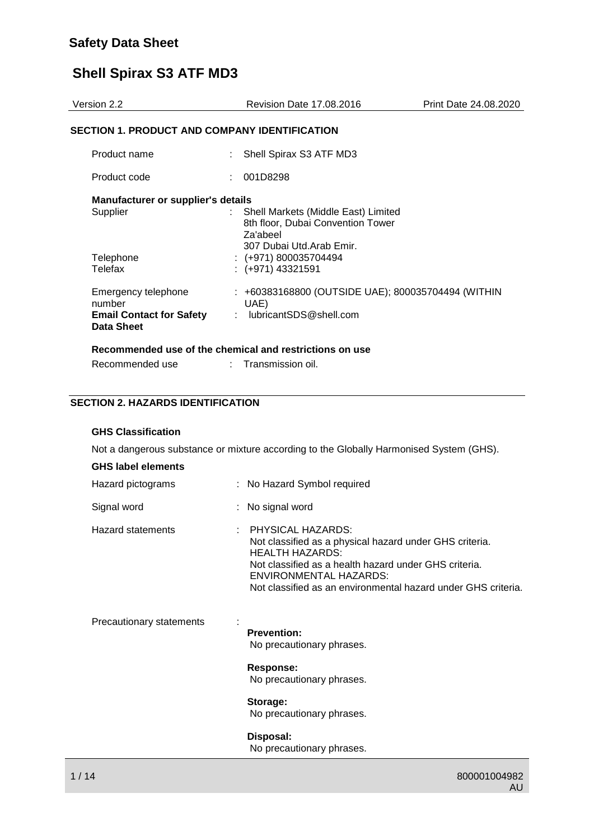| Version 2.2                                          | Revision Date 17,08,2016                                                                                               | Print Date 24.08.2020 |
|------------------------------------------------------|------------------------------------------------------------------------------------------------------------------------|-----------------------|
| <b>SECTION 1. PRODUCT AND COMPANY IDENTIFICATION</b> |                                                                                                                        |                       |
| Product name                                         | Shell Spirax S3 ATF MD3                                                                                                |                       |
| Product code                                         | 001D8298                                                                                                               |                       |
| <b>Manufacturer or supplier's details</b>            |                                                                                                                        |                       |
| Supplier                                             | Shell Markets (Middle East) Limited<br>t.<br>8th floor, Dubai Convention Tower<br>Za'abeel<br>307 Dubai Utd.Arab Emir. |                       |
| Telephone                                            | $: (+971) 800035704494$                                                                                                |                       |
| Telefax                                              | $: (+971)$ 43321591                                                                                                    |                       |
| Emergency telephone<br>number                        | : +60383168800 (OUTSIDE UAE); 800035704494 (WITHIN<br>UAE)                                                             |                       |
| <b>Email Contact for Safety</b><br>Data Sheet        | : lubricantSDS@shell.com                                                                                               |                       |

#### **SECTION 2. HAZARDS IDENTIFICATION**

Recommended use : Transmission oil.

#### **GHS Classification**

Not a dangerous substance or mixture according to the Globally Harmonised System (GHS).

|  |  | <b>GHS label elements</b> |  |
|--|--|---------------------------|--|
|--|--|---------------------------|--|

| Hazard pictograms        | : No Hazard Symbol required                                                                                                                                                                                                                                      |
|--------------------------|------------------------------------------------------------------------------------------------------------------------------------------------------------------------------------------------------------------------------------------------------------------|
| Signal word              | : No signal word                                                                                                                                                                                                                                                 |
| Hazard statements        | $\pm$ PHYSICAL HAZARDS:<br>Not classified as a physical hazard under GHS criteria.<br><b>HEALTH HAZARDS:</b><br>Not classified as a health hazard under GHS criteria.<br>ENVIRONMENTAL HAZARDS:<br>Not classified as an environmental hazard under GHS criteria. |
| Precautionary statements | <b>Prevention:</b><br>No precautionary phrases.                                                                                                                                                                                                                  |
|                          | <b>Response:</b><br>No precautionary phrases.                                                                                                                                                                                                                    |
|                          | Storage:<br>No precautionary phrases.                                                                                                                                                                                                                            |
|                          | Disposal:<br>No precautionary phrases.                                                                                                                                                                                                                           |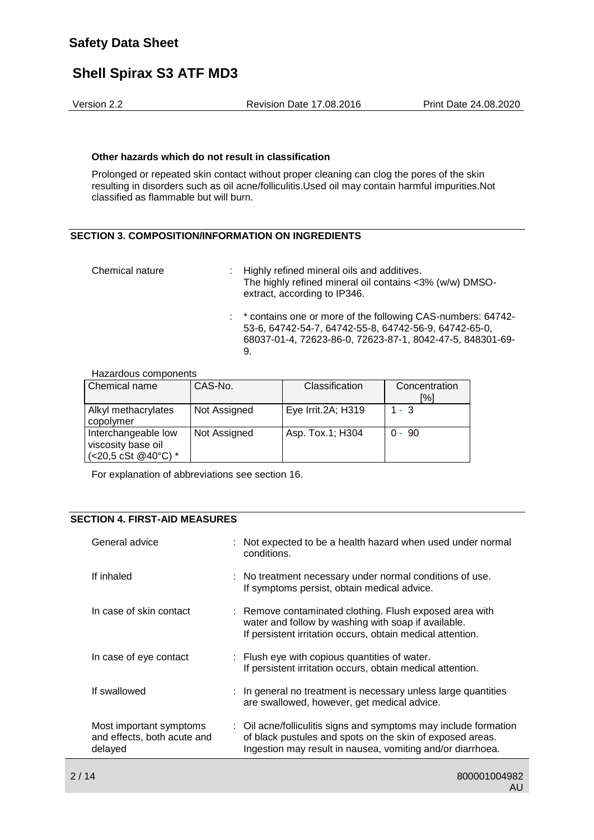Version 2.2 Revision Date 17.08.2016 Print Date 24.08.2020

#### **Other hazards which do not result in classification**

Prolonged or repeated skin contact without proper cleaning can clog the pores of the skin resulting in disorders such as oil acne/folliculitis.Used oil may contain harmful impurities.Not classified as flammable but will burn.

#### **SECTION 3. COMPOSITION/INFORMATION ON INGREDIENTS**

| Chemical nature | : Highly refined mineral oils and additives.<br>The highly refined mineral oil contains <3% (w/w) DMSO-<br>extract, according to IP346.                                                   |
|-----------------|-------------------------------------------------------------------------------------------------------------------------------------------------------------------------------------------|
|                 | : * contains one or more of the following CAS-numbers: 64742-<br>53-6, 64742-54-7, 64742-55-8, 64742-56-9, 64742-65-0,<br>68037-01-4, 72623-86-0, 72623-87-1, 8042-47-5, 848301-69-<br>9. |

#### Hazardous components

| Chemical name                                                    | CAS-No.      | Classification     | Concentration<br>[%] |
|------------------------------------------------------------------|--------------|--------------------|----------------------|
| Alkyl methacrylates<br>copolymer                                 | Not Assigned | Eye Irrit.2A; H319 | $1 - 3$              |
| Interchangeable low<br>viscosity base oil<br>(<20,5 cSt @40°C) * | Not Assigned | Asp. Tox.1; H304   | $0 - 90$             |

For explanation of abbreviations see section 16.

#### **SECTION 4. FIRST-AID MEASURES**

| General advice                                                    | : Not expected to be a health hazard when used under normal<br>conditions.                                                                                                                  |
|-------------------------------------------------------------------|---------------------------------------------------------------------------------------------------------------------------------------------------------------------------------------------|
| If inhaled                                                        | : No treatment necessary under normal conditions of use.<br>If symptoms persist, obtain medical advice.                                                                                     |
| In case of skin contact                                           | : Remove contaminated clothing. Flush exposed area with<br>water and follow by washing with soap if available.<br>If persistent irritation occurs, obtain medical attention.                |
| In case of eye contact                                            | : Flush eye with copious quantities of water.<br>If persistent irritation occurs, obtain medical attention.                                                                                 |
| If swallowed                                                      | : In general no treatment is necessary unless large quantities<br>are swallowed, however, get medical advice.                                                                               |
| Most important symptoms<br>and effects, both acute and<br>delayed | : Oil acne/folliculitis signs and symptoms may include formation<br>of black pustules and spots on the skin of exposed areas.<br>Ingestion may result in nausea, vomiting and/or diarrhoea. |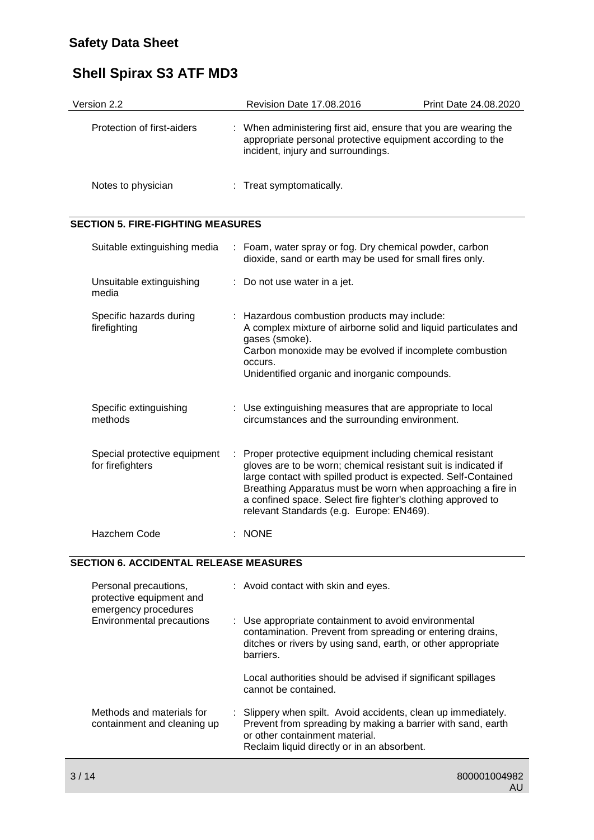| Version 2.2                                                                                                   |    | Revision Date 17.08.2016                                                                                                                                                                                                                                                                                                                                                | Print Date 24.08.2020 |
|---------------------------------------------------------------------------------------------------------------|----|-------------------------------------------------------------------------------------------------------------------------------------------------------------------------------------------------------------------------------------------------------------------------------------------------------------------------------------------------------------------------|-----------------------|
| Protection of first-aiders                                                                                    |    | : When administering first aid, ensure that you are wearing the<br>appropriate personal protective equipment according to the<br>incident, injury and surroundings.                                                                                                                                                                                                     |                       |
| Notes to physician                                                                                            |    | : Treat symptomatically.                                                                                                                                                                                                                                                                                                                                                |                       |
| <b>SECTION 5. FIRE-FIGHTING MEASURES</b>                                                                      |    |                                                                                                                                                                                                                                                                                                                                                                         |                       |
| Suitable extinguishing media                                                                                  |    | : Foam, water spray or fog. Dry chemical powder, carbon<br>dioxide, sand or earth may be used for small fires only.                                                                                                                                                                                                                                                     |                       |
| Unsuitable extinguishing<br>media                                                                             |    | : Do not use water in a jet.                                                                                                                                                                                                                                                                                                                                            |                       |
| Specific hazards during<br>firefighting                                                                       |    | : Hazardous combustion products may include:<br>A complex mixture of airborne solid and liquid particulates and<br>gases (smoke).<br>Carbon monoxide may be evolved if incomplete combustion<br>occurs.<br>Unidentified organic and inorganic compounds.                                                                                                                |                       |
| Specific extinguishing<br>methods                                                                             |    | : Use extinguishing measures that are appropriate to local<br>circumstances and the surrounding environment.                                                                                                                                                                                                                                                            |                       |
| Special protective equipment<br>for firefighters                                                              | ÷. | Proper protective equipment including chemical resistant<br>gloves are to be worn; chemical resistant suit is indicated if<br>large contact with spilled product is expected. Self-Contained<br>Breathing Apparatus must be worn when approaching a fire in<br>a confined space. Select fire fighter's clothing approved to<br>relevant Standards (e.g. Europe: EN469). |                       |
| <b>Hazchem Code</b>                                                                                           |    | $:$ NONE                                                                                                                                                                                                                                                                                                                                                                |                       |
| <b>SECTION 6. ACCIDENTAL RELEASE MEASURES</b>                                                                 |    |                                                                                                                                                                                                                                                                                                                                                                         |                       |
| Personal precautions,<br>protective equipment and<br>emergency procedures<br><b>Environmental precautions</b> |    | : Avoid contact with skin and eyes.                                                                                                                                                                                                                                                                                                                                     |                       |
|                                                                                                               |    | Use appropriate containment to avoid environmental<br>contamination. Prevent from spreading or entering drains,<br>ditches or rivers by using sand, earth, or other appropriate<br>barriers.                                                                                                                                                                            |                       |
|                                                                                                               |    | Local authorities should be advised if significant spillages<br>cannot be contained.                                                                                                                                                                                                                                                                                    |                       |
| Methods and materials for<br>containment and cleaning up                                                      |    | Slippery when spilt. Avoid accidents, clean up immediately.<br>Prevent from spreading by making a barrier with sand, earth<br>or other containment material.<br>Reclaim liquid directly or in an absorbent.                                                                                                                                                             |                       |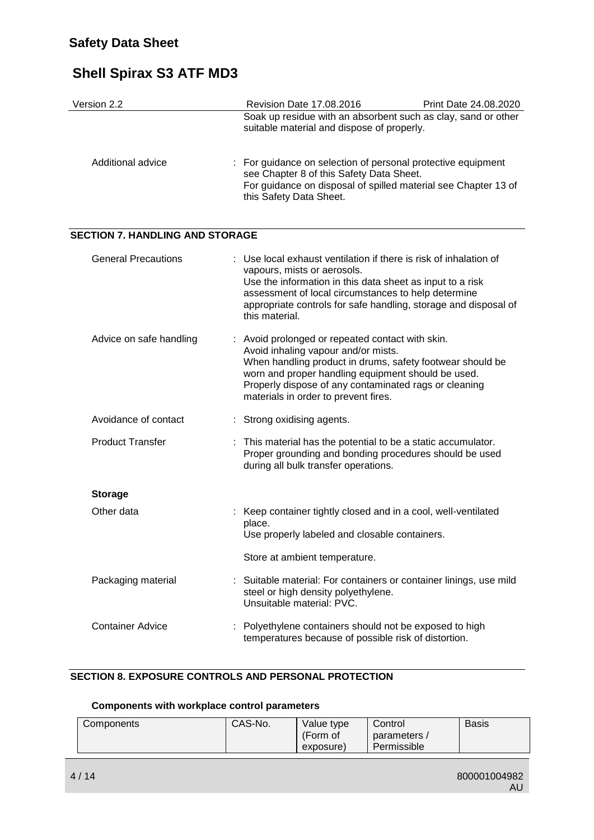| Version 2.2                            | Revision Date 17.08.2016<br>Print Date 24.08.2020                                                                                                                                                                                                                                                           |
|----------------------------------------|-------------------------------------------------------------------------------------------------------------------------------------------------------------------------------------------------------------------------------------------------------------------------------------------------------------|
|                                        | Soak up residue with an absorbent such as clay, sand or other<br>suitable material and dispose of properly.                                                                                                                                                                                                 |
| Additional advice                      | : For guidance on selection of personal protective equipment<br>see Chapter 8 of this Safety Data Sheet.<br>For guidance on disposal of spilled material see Chapter 13 of<br>this Safety Data Sheet.                                                                                                       |
| <b>SECTION 7. HANDLING AND STORAGE</b> |                                                                                                                                                                                                                                                                                                             |
| <b>General Precautions</b>             | : Use local exhaust ventilation if there is risk of inhalation of<br>vapours, mists or aerosols.<br>Use the information in this data sheet as input to a risk<br>assessment of local circumstances to help determine<br>appropriate controls for safe handling, storage and disposal of<br>this material.   |
| Advice on safe handling                | : Avoid prolonged or repeated contact with skin.<br>Avoid inhaling vapour and/or mists.<br>When handling product in drums, safety footwear should be<br>worn and proper handling equipment should be used.<br>Properly dispose of any contaminated rags or cleaning<br>materials in order to prevent fires. |
| Avoidance of contact                   | Strong oxidising agents.                                                                                                                                                                                                                                                                                    |
| <b>Product Transfer</b>                | This material has the potential to be a static accumulator.<br>Proper grounding and bonding procedures should be used<br>during all bulk transfer operations.                                                                                                                                               |
| <b>Storage</b>                         |                                                                                                                                                                                                                                                                                                             |
| Other data                             | Keep container tightly closed and in a cool, well-ventilated<br>place.<br>Use properly labeled and closable containers.                                                                                                                                                                                     |
|                                        | Store at ambient temperature.                                                                                                                                                                                                                                                                               |
| Packaging material                     | Suitable material: For containers or container linings, use mild<br>steel or high density polyethylene.<br>Unsuitable material: PVC.                                                                                                                                                                        |
| <b>Container Advice</b>                | Polyethylene containers should not be exposed to high<br>temperatures because of possible risk of distortion.                                                                                                                                                                                               |

### **SECTION 8. EXPOSURE CONTROLS AND PERSONAL PROTECTION**

#### **Components with workplace control parameters**

| Components | CAS-No.<br>Value type<br>(Form of<br>exposure) | Control<br>parameters /<br>Permissible | <b>Basis</b> |
|------------|------------------------------------------------|----------------------------------------|--------------|
|------------|------------------------------------------------|----------------------------------------|--------------|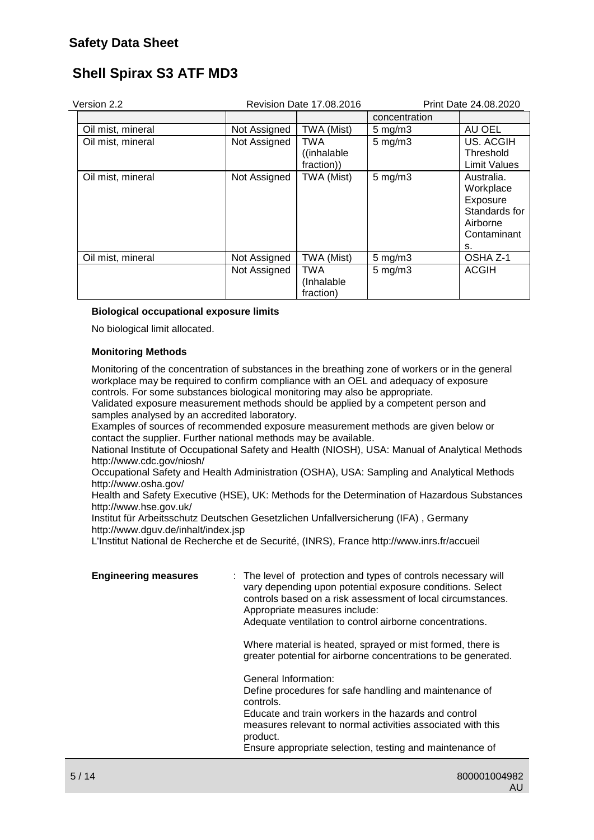| Version 2.2<br>Revision Date 17.08.2016 |              |                                       |                    | Print Date 24.08.2020                                                                 |
|-----------------------------------------|--------------|---------------------------------------|--------------------|---------------------------------------------------------------------------------------|
|                                         |              |                                       | concentration      |                                                                                       |
| Oil mist, mineral                       | Not Assigned | TWA (Mist)                            | $5$ mg/m $3$       | AU OEL                                                                                |
| Oil mist, mineral                       | Not Assigned | <b>TWA</b><br>((inhalable)            | $5$ mg/m $3$       | US. ACGIH<br>Threshold                                                                |
|                                         |              | fraction))                            |                    | <b>Limit Values</b>                                                                   |
| Oil mist, mineral                       | Not Assigned | TWA (Mist)                            | $5 \text{ mg/m}$ 3 | Australia.<br>Workplace<br>Exposure<br>Standards for<br>Airborne<br>Contaminant<br>s. |
| Oil mist, mineral                       | Not Assigned | TWA (Mist)                            | $5$ mg/m $3$       | OSHA Z-1                                                                              |
|                                         | Not Assigned | <b>TWA</b><br>(Inhalable<br>fraction) | $5$ mg/m $3$       | <b>ACGIH</b>                                                                          |

#### **Biological occupational exposure limits**

No biological limit allocated.

#### **Monitoring Methods**

Monitoring of the concentration of substances in the breathing zone of workers or in the general workplace may be required to confirm compliance with an OEL and adequacy of exposure controls. For some substances biological monitoring may also be appropriate.

Validated exposure measurement methods should be applied by a competent person and samples analysed by an accredited laboratory.

Examples of sources of recommended exposure measurement methods are given below or contact the supplier. Further national methods may be available.

National Institute of Occupational Safety and Health (NIOSH), USA: Manual of Analytical Methods http://www.cdc.gov/niosh/

Occupational Safety and Health Administration (OSHA), USA: Sampling and Analytical Methods http://www.osha.gov/

Health and Safety Executive (HSE), UK: Methods for the Determination of Hazardous Substances http://www.hse.gov.uk/

Institut für Arbeitsschutz Deutschen Gesetzlichen Unfallversicherung (IFA) , Germany http://www.dguv.de/inhalt/index.jsp

L'Institut National de Recherche et de Securité, (INRS), France http://www.inrs.fr/accueil

| <b>Engineering measures</b> | : The level of protection and types of controls necessary will<br>vary depending upon potential exposure conditions. Select<br>controls based on a risk assessment of local circumstances.<br>Appropriate measures include:<br>Adequate ventilation to control airborne concentrations.    |
|-----------------------------|--------------------------------------------------------------------------------------------------------------------------------------------------------------------------------------------------------------------------------------------------------------------------------------------|
|                             | Where material is heated, sprayed or mist formed, there is<br>greater potential for airborne concentrations to be generated.                                                                                                                                                               |
|                             | General Information:<br>Define procedures for safe handling and maintenance of<br>controls.<br>Educate and train workers in the hazards and control<br>measures relevant to normal activities associated with this<br>product.<br>Ensure appropriate selection, testing and maintenance of |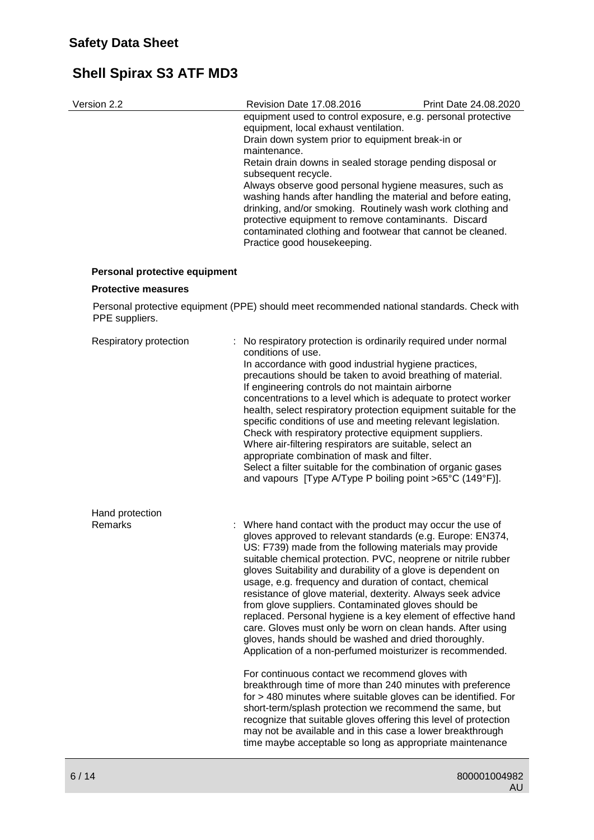| Version 2.2 | <b>Revision Date 17.08.2016</b>                                                                                                                                                                                                                                                                            | Print Date 24.08.2020 |
|-------------|------------------------------------------------------------------------------------------------------------------------------------------------------------------------------------------------------------------------------------------------------------------------------------------------------------|-----------------------|
|             | equipment used to control exposure, e.g. personal protective<br>equipment, local exhaust ventilation.                                                                                                                                                                                                      |                       |
|             | Drain down system prior to equipment break-in or<br>maintenance.                                                                                                                                                                                                                                           |                       |
|             | Retain drain downs in sealed storage pending disposal or<br>subsequent recycle.                                                                                                                                                                                                                            |                       |
|             | Always observe good personal hygiene measures, such as<br>washing hands after handling the material and before eating,<br>drinking, and/or smoking. Routinely wash work clothing and<br>protective equipment to remove contaminants. Discard<br>contaminated clothing and footwear that cannot be cleaned. |                       |
|             | Practice good housekeeping.                                                                                                                                                                                                                                                                                |                       |

#### **Personal protective equipment**

#### **Protective measures**

Personal protective equipment (PPE) should meet recommended national standards. Check with PPE suppliers.

| Respiratory protection            | No respiratory protection is ordinarily required under normal<br>conditions of use.<br>In accordance with good industrial hygiene practices,<br>precautions should be taken to avoid breathing of material.<br>If engineering controls do not maintain airborne<br>concentrations to a level which is adequate to protect worker<br>health, select respiratory protection equipment suitable for the<br>specific conditions of use and meeting relevant legislation.<br>Check with respiratory protective equipment suppliers.<br>Where air-filtering respirators are suitable, select an<br>appropriate combination of mask and filter.<br>Select a filter suitable for the combination of organic gases<br>and vapours [Type A/Type P boiling point >65°C (149°F)]. |
|-----------------------------------|-----------------------------------------------------------------------------------------------------------------------------------------------------------------------------------------------------------------------------------------------------------------------------------------------------------------------------------------------------------------------------------------------------------------------------------------------------------------------------------------------------------------------------------------------------------------------------------------------------------------------------------------------------------------------------------------------------------------------------------------------------------------------|
| Hand protection<br><b>Remarks</b> | : Where hand contact with the product may occur the use of<br>gloves approved to relevant standards (e.g. Europe: EN374,<br>US: F739) made from the following materials may provide<br>suitable chemical protection. PVC, neoprene or nitrile rubber<br>gloves Suitability and durability of a glove is dependent on<br>usage, e.g. frequency and duration of contact, chemical<br>resistance of glove material, dexterity. Always seek advice<br>from glove suppliers. Contaminated gloves should be<br>replaced. Personal hygiene is a key element of effective hand<br>care. Gloves must only be worn on clean hands. After using<br>gloves, hands should be washed and dried thoroughly.<br>Application of a non-perfumed moisturizer is recommended.             |
|                                   | For continuous contact we recommend gloves with<br>breakthrough time of more than 240 minutes with preference<br>for > 480 minutes where suitable gloves can be identified. For<br>short-term/splash protection we recommend the same, but<br>recognize that suitable gloves offering this level of protection<br>may not be available and in this case a lower breakthrough<br>time maybe acceptable so long as appropriate maintenance                                                                                                                                                                                                                                                                                                                              |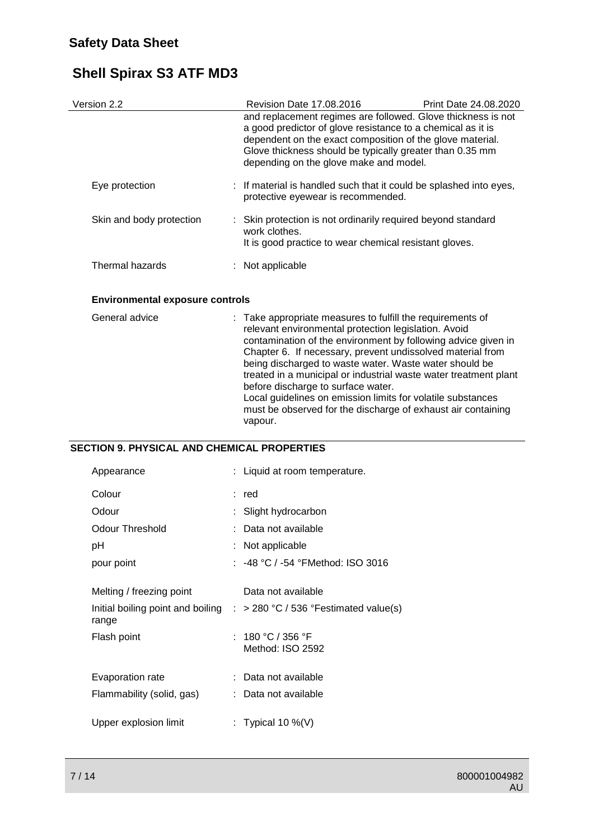| Version 2.2              | Revision Date 17.08.2016                                                                                                                                                                                                       | Print Date 24.08.2020                                        |
|--------------------------|--------------------------------------------------------------------------------------------------------------------------------------------------------------------------------------------------------------------------------|--------------------------------------------------------------|
|                          | a good predictor of glove resistance to a chemical as it is<br>dependent on the exact composition of the glove material.<br>Glove thickness should be typically greater than 0.35 mm<br>depending on the glove make and model. | and replacement regimes are followed. Glove thickness is not |
| Eye protection           | : If material is handled such that it could be splashed into eyes,<br>protective eyewear is recommended.                                                                                                                       |                                                              |
| Skin and body protection | : Skin protection is not ordinarily required beyond standard<br>work clothes.<br>It is good practice to wear chemical resistant gloves.                                                                                        |                                                              |
| Thermal hazards          | $:$ Not applicable                                                                                                                                                                                                             |                                                              |

#### **Environmental exposure controls**

| General advice | : Take appropriate measures to fulfill the requirements of<br>relevant environmental protection legislation. Avoid          |
|----------------|-----------------------------------------------------------------------------------------------------------------------------|
|                | contamination of the environment by following advice given in<br>Chapter 6. If necessary, prevent undissolved material from |
|                | being discharged to waste water. Waste water should be                                                                      |
|                | treated in a municipal or industrial waste water treatment plant                                                            |
|                | before discharge to surface water.                                                                                          |
|                | Local guidelines on emission limits for volatile substances                                                                 |
|                | must be observed for the discharge of exhaust air containing                                                                |
|                | vapour.                                                                                                                     |

#### **SECTION 9. PHYSICAL AND CHEMICAL PROPERTIES**

| Appearance                | : Liquid at room temperature.                                                      |
|---------------------------|------------------------------------------------------------------------------------|
| Colour                    | : red                                                                              |
| Odour                     | Slight hydrocarbon                                                                 |
| Odour Threshold           | Data not available                                                                 |
| рH                        | : Not applicable                                                                   |
| pour point                | : -48 °C / -54 °FMethod: ISO 3016                                                  |
| Melting / freezing point  | Data not available                                                                 |
| range                     | Initial boiling point and boiling $\therefore$ > 280 °C / 536 °Festimated value(s) |
| Flash point               | : 180 °C / 356 °F<br>Method: ISO 2592                                              |
| Evaporation rate          | Data not available                                                                 |
| Flammability (solid, gas) | : Data not available                                                               |
| Upper explosion limit     | : Typical 10 %(V)                                                                  |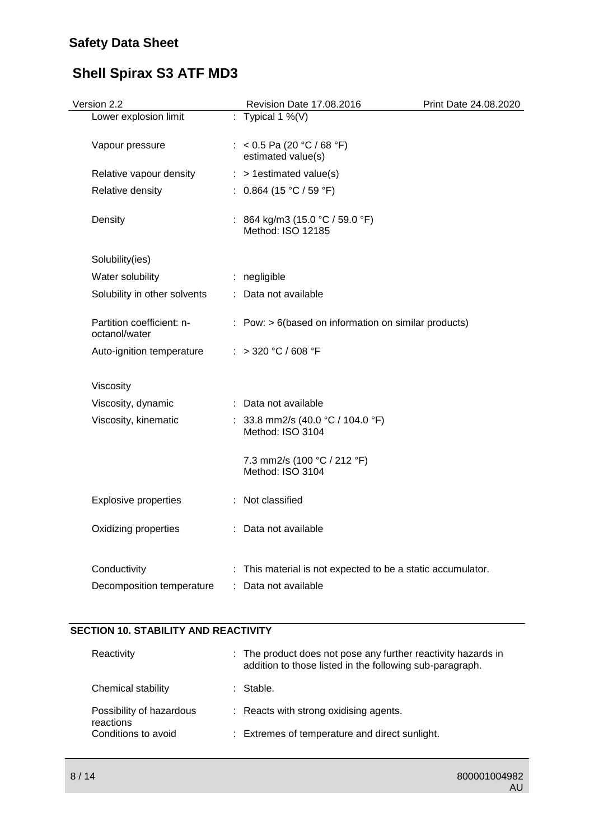# **Safety Data Sheet**

# **Shell Spirax S3 ATF MD3**

| Version 2.2                                | Revision Date 17.08.2016                                                            | Print Date 24.08.2020 |
|--------------------------------------------|-------------------------------------------------------------------------------------|-----------------------|
| Lower explosion limit                      | : Typical 1 %(V)                                                                    |                       |
| Vapour pressure                            | : < 0.5 Pa (20 °C / 68 °F)<br>estimated value(s)                                    |                       |
| Relative vapour density                    | $:$ > 1 estimated value(s)                                                          |                       |
| Relative density                           | : $0.864$ (15 °C / 59 °F)                                                           |                       |
| Density                                    | : 864 kg/m3 (15.0 °C / 59.0 °F)<br>Method: ISO 12185                                |                       |
| Solubility(ies)                            |                                                                                     |                       |
| Water solubility                           | : negligible                                                                        |                       |
| Solubility in other solvents               | : Data not available                                                                |                       |
| Partition coefficient: n-<br>octanol/water | $:$ Pow: $> 6$ (based on information on similar products)                           |                       |
| Auto-ignition temperature                  | : > 320 °C / 608 °F                                                                 |                       |
| Viscosity                                  |                                                                                     |                       |
| Viscosity, dynamic                         | : Data not available                                                                |                       |
| Viscosity, kinematic                       | : 33.8 mm2/s (40.0 °C / 104.0 °F)<br>Method: ISO 3104                               |                       |
|                                            | 7.3 mm2/s (100 °C / 212 °F)<br>Method: ISO 3104                                     |                       |
| <b>Explosive properties</b>                | : Not classified                                                                    |                       |
| Oxidizing properties                       | : Data not available                                                                |                       |
| Conductivity<br>Decomposition temperature  | : This material is not expected to be a static accumulator.<br>: Data not available |                       |
|                                            |                                                                                     |                       |

### **SECTION 10. STABILITY AND REACTIVITY**

| Reactivity                            | : The product does not pose any further reactivity hazards in<br>addition to those listed in the following sub-paragraph. |
|---------------------------------------|---------------------------------------------------------------------------------------------------------------------------|
| Chemical stability                    | : Stable.                                                                                                                 |
| Possibility of hazardous<br>reactions | : Reacts with strong oxidising agents.                                                                                    |
| Conditions to avoid                   | : Extremes of temperature and direct sunlight.                                                                            |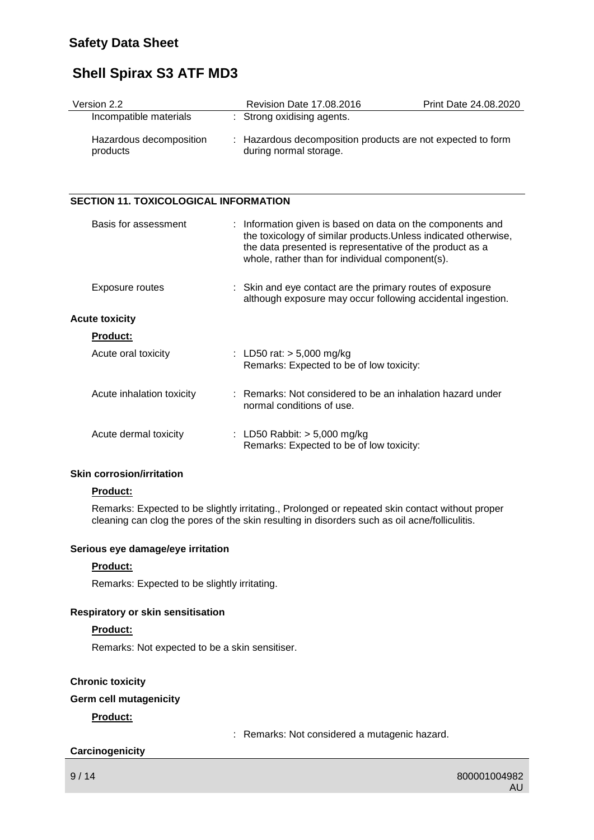### **Safety Data Sheet**

## **Shell Spirax S3 ATF MD3**

| Version 2.2                         | <b>Revision Date 17,08,2016</b>                                                       | Print Date 24.08.2020 |
|-------------------------------------|---------------------------------------------------------------------------------------|-----------------------|
| Incompatible materials              | : Strong oxidising agents.                                                            |                       |
| Hazardous decomposition<br>products | : Hazardous decomposition products are not expected to form<br>during normal storage. |                       |

#### **SECTION 11. TOXICOLOGICAL INFORMATION**

| Basis for assessment      | : Information given is based on data on the components and<br>the toxicology of similar products. Unless indicated otherwise,<br>the data presented is representative of the product as a<br>whole, rather than for individual component(s). |
|---------------------------|----------------------------------------------------------------------------------------------------------------------------------------------------------------------------------------------------------------------------------------------|
| Exposure routes           | : Skin and eye contact are the primary routes of exposure<br>although exposure may occur following accidental ingestion.                                                                                                                     |
| <b>Acute toxicity</b>     |                                                                                                                                                                                                                                              |
| <b>Product:</b>           |                                                                                                                                                                                                                                              |
| Acute oral toxicity       | : LD50 rat: $> 5,000$ mg/kg<br>Remarks: Expected to be of low toxicity:                                                                                                                                                                      |
| Acute inhalation toxicity | : Remarks: Not considered to be an inhalation hazard under<br>normal conditions of use.                                                                                                                                                      |
| Acute dermal toxicity     | : LD50 Rabbit: $>$ 5,000 mg/kg<br>Remarks: Expected to be of low toxicity:                                                                                                                                                                   |

#### **Skin corrosion/irritation**

#### **Product:**

Remarks: Expected to be slightly irritating., Prolonged or repeated skin contact without proper cleaning can clog the pores of the skin resulting in disorders such as oil acne/folliculitis.

#### **Serious eye damage/eye irritation**

#### **Product:**

Remarks: Expected to be slightly irritating.

#### **Respiratory or skin sensitisation**

#### **Product:**

Remarks: Not expected to be a skin sensitiser.

### **Chronic toxicity**

#### **Germ cell mutagenicity**

#### **Product:**

: Remarks: Not considered a mutagenic hazard.

#### **Carcinogenicity**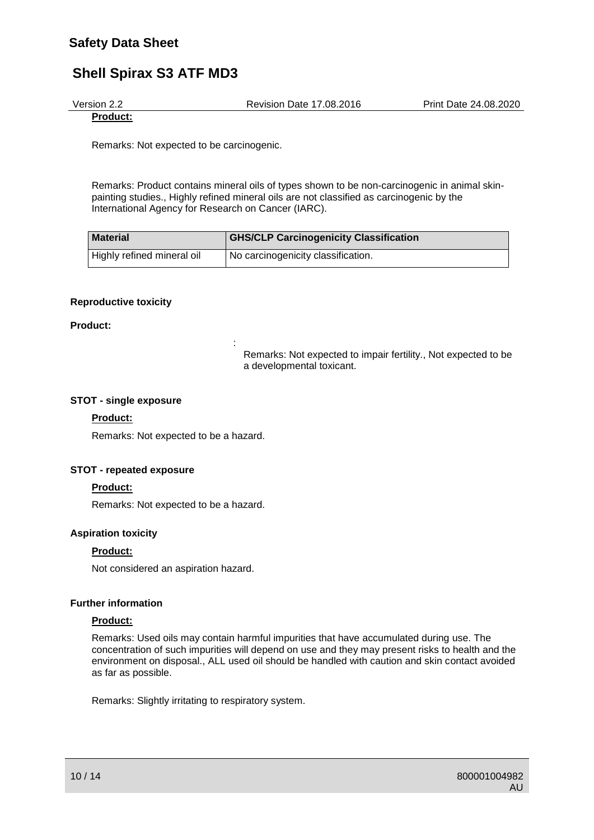Version 2.2 Revision Date 17.08.2016 Print Date 24.08.2020

**Product:**

Remarks: Not expected to be carcinogenic.

Remarks: Product contains mineral oils of types shown to be non-carcinogenic in animal skinpainting studies., Highly refined mineral oils are not classified as carcinogenic by the International Agency for Research on Cancer (IARC).

| <b>Material</b>            | <b>GHS/CLP Carcinogenicity Classification</b> |
|----------------------------|-----------------------------------------------|
| Highly refined mineral oil | I No carcinogenicity classification.          |

#### **Reproductive toxicity**

#### **Product:**

Remarks: Not expected to impair fertility., Not expected to be a developmental toxicant.

#### **STOT - single exposure**

#### **Product:**

Remarks: Not expected to be a hazard.

:

#### **STOT - repeated exposure**

#### **Product:**

Remarks: Not expected to be a hazard.

#### **Aspiration toxicity**

#### **Product:**

Not considered an aspiration hazard.

#### **Further information**

#### **Product:**

Remarks: Used oils may contain harmful impurities that have accumulated during use. The concentration of such impurities will depend on use and they may present risks to health and the environment on disposal., ALL used oil should be handled with caution and skin contact avoided as far as possible.

Remarks: Slightly irritating to respiratory system.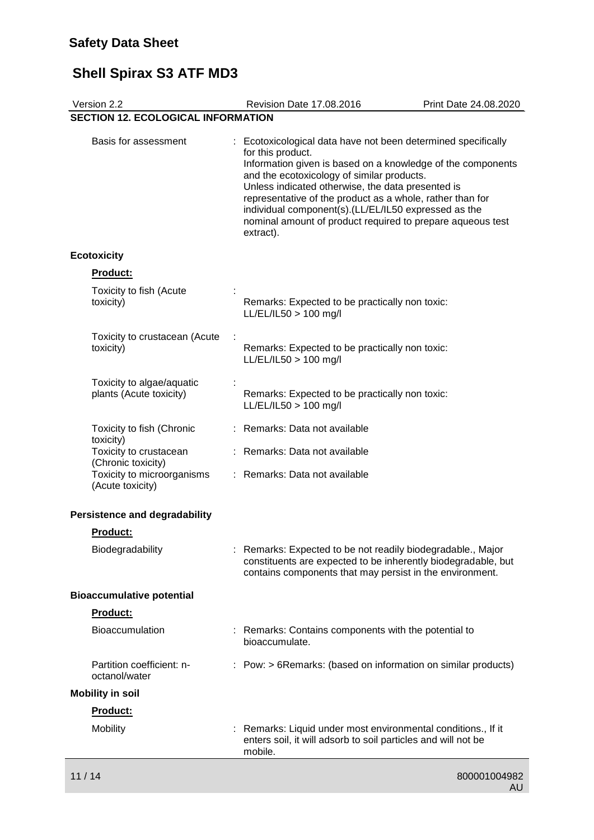| Version 2.2                                          |    | Revision Date 17.08.2016                                                                                                                                                                                                                                                                                                                                                                                                                             | Print Date 24.08.2020 |
|------------------------------------------------------|----|------------------------------------------------------------------------------------------------------------------------------------------------------------------------------------------------------------------------------------------------------------------------------------------------------------------------------------------------------------------------------------------------------------------------------------------------------|-----------------------|
| <b>SECTION 12. ECOLOGICAL INFORMATION</b>            |    |                                                                                                                                                                                                                                                                                                                                                                                                                                                      |                       |
| Basis for assessment                                 |    | : Ecotoxicological data have not been determined specifically<br>for this product.<br>Information given is based on a knowledge of the components<br>and the ecotoxicology of similar products.<br>Unless indicated otherwise, the data presented is<br>representative of the product as a whole, rather than for<br>individual component(s).(LL/EL/IL50 expressed as the<br>nominal amount of product required to prepare aqueous test<br>extract). |                       |
| <b>Ecotoxicity</b>                                   |    |                                                                                                                                                                                                                                                                                                                                                                                                                                                      |                       |
| Product:                                             |    |                                                                                                                                                                                                                                                                                                                                                                                                                                                      |                       |
| Toxicity to fish (Acute<br>toxicity)                 |    | Remarks: Expected to be practically non toxic:<br>LL/EL/IL50 > 100 mg/l                                                                                                                                                                                                                                                                                                                                                                              |                       |
| Toxicity to crustacean (Acute<br>toxicity)           |    | Remarks: Expected to be practically non toxic:<br>LL/EL/IL50 > 100 mg/l                                                                                                                                                                                                                                                                                                                                                                              |                       |
| Toxicity to algae/aquatic<br>plants (Acute toxicity) |    | Remarks: Expected to be practically non toxic:<br>LL/EL/IL50 > 100 mg/l                                                                                                                                                                                                                                                                                                                                                                              |                       |
| Toxicity to fish (Chronic<br>toxicity)               |    | Remarks: Data not available                                                                                                                                                                                                                                                                                                                                                                                                                          |                       |
| Toxicity to crustacean<br>(Chronic toxicity)         |    | : Remarks: Data not available                                                                                                                                                                                                                                                                                                                                                                                                                        |                       |
| Toxicity to microorganisms<br>(Acute toxicity)       | t. | Remarks: Data not available                                                                                                                                                                                                                                                                                                                                                                                                                          |                       |
| <b>Persistence and degradability</b>                 |    |                                                                                                                                                                                                                                                                                                                                                                                                                                                      |                       |
| <b>Product:</b>                                      |    |                                                                                                                                                                                                                                                                                                                                                                                                                                                      |                       |
| Biodegradability                                     |    | : Remarks: Expected to be not readily biodegradable., Major<br>constituents are expected to be inherently biodegradable, but<br>contains components that may persist in the environment.                                                                                                                                                                                                                                                             |                       |
| <b>Bioaccumulative potential</b>                     |    |                                                                                                                                                                                                                                                                                                                                                                                                                                                      |                       |
| <b>Product:</b>                                      |    |                                                                                                                                                                                                                                                                                                                                                                                                                                                      |                       |
| <b>Bioaccumulation</b>                               |    | : Remarks: Contains components with the potential to<br>bioaccumulate.                                                                                                                                                                                                                                                                                                                                                                               |                       |
| Partition coefficient: n-<br>octanol/water           |    | $:$ Pow: $>$ 6Remarks: (based on information on similar products)                                                                                                                                                                                                                                                                                                                                                                                    |                       |
| <b>Mobility in soil</b>                              |    |                                                                                                                                                                                                                                                                                                                                                                                                                                                      |                       |
| <b>Product:</b>                                      |    |                                                                                                                                                                                                                                                                                                                                                                                                                                                      |                       |
| <b>Mobility</b>                                      |    | : Remarks: Liquid under most environmental conditions., If it<br>enters soil, it will adsorb to soil particles and will not be<br>mobile.                                                                                                                                                                                                                                                                                                            |                       |
| 11/14                                                |    |                                                                                                                                                                                                                                                                                                                                                                                                                                                      | 800001004982          |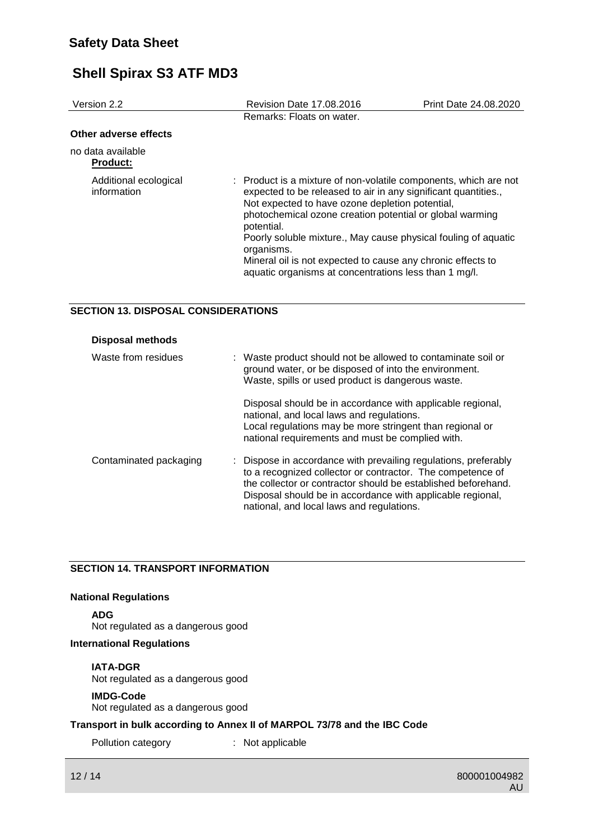| Version 2.2                          | Revision Date 17.08.2016                                                                                                                                                                                                                                                                                                                                                                                                                                                | Print Date 24.08.2020 |
|--------------------------------------|-------------------------------------------------------------------------------------------------------------------------------------------------------------------------------------------------------------------------------------------------------------------------------------------------------------------------------------------------------------------------------------------------------------------------------------------------------------------------|-----------------------|
|                                      | Remarks: Floats on water.                                                                                                                                                                                                                                                                                                                                                                                                                                               |                       |
| Other adverse effects                |                                                                                                                                                                                                                                                                                                                                                                                                                                                                         |                       |
| no data available<br><b>Product:</b> |                                                                                                                                                                                                                                                                                                                                                                                                                                                                         |                       |
| Additional ecological<br>information | : Product is a mixture of non-volatile components, which are not<br>expected to be released to air in any significant quantities.,<br>Not expected to have ozone depletion potential,<br>photochemical ozone creation potential or global warming<br>potential.<br>Poorly soluble mixture., May cause physical fouling of aquatic<br>organisms.<br>Mineral oil is not expected to cause any chronic effects to<br>aquatic organisms at concentrations less than 1 mg/l. |                       |

#### **SECTION 13. DISPOSAL CONSIDERATIONS**

| <b>Disposal methods</b> |                                                                                                                                                                                                                                                                                                           |
|-------------------------|-----------------------------------------------------------------------------------------------------------------------------------------------------------------------------------------------------------------------------------------------------------------------------------------------------------|
| Waste from residues     | : Waste product should not be allowed to contaminate soil or<br>ground water, or be disposed of into the environment.<br>Waste, spills or used product is dangerous waste.                                                                                                                                |
|                         | Disposal should be in accordance with applicable regional,<br>national, and local laws and regulations.<br>Local regulations may be more stringent than regional or<br>national requirements and must be complied with.                                                                                   |
| Contaminated packaging  | : Dispose in accordance with prevailing regulations, preferably<br>to a recognized collector or contractor. The competence of<br>the collector or contractor should be established beforehand.<br>Disposal should be in accordance with applicable regional,<br>national, and local laws and regulations. |

#### **SECTION 14. TRANSPORT INFORMATION**

#### **National Regulations**

**ADG**

Not regulated as a dangerous good

#### **International Regulations**

#### **IATA-DGR**

Not regulated as a dangerous good

#### **IMDG-Code**

Not regulated as a dangerous good

#### **Transport in bulk according to Annex II of MARPOL 73/78 and the IBC Code**

Pollution category : Not applicable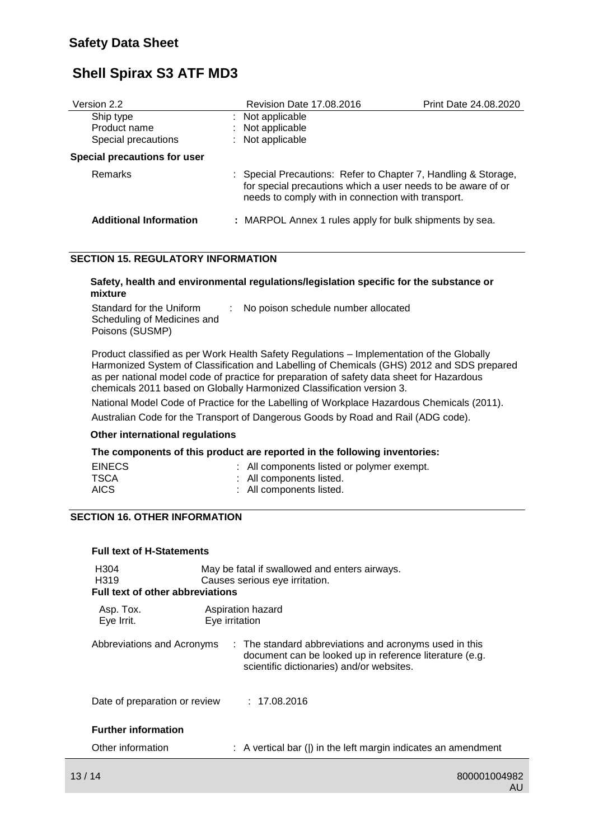| Version 2.2                   | <b>Revision Date 17.08.2016</b>                                                                                                                                                      | <b>Print Date 24.08.2020</b> |
|-------------------------------|--------------------------------------------------------------------------------------------------------------------------------------------------------------------------------------|------------------------------|
| Ship type                     | : Not applicable                                                                                                                                                                     |                              |
| Product name                  | : Not applicable                                                                                                                                                                     |                              |
| Special precautions           | : Not applicable                                                                                                                                                                     |                              |
| Special precautions for user  |                                                                                                                                                                                      |                              |
| <b>Remarks</b>                | : Special Precautions: Refer to Chapter 7, Handling & Storage,<br>for special precautions which a user needs to be aware of or<br>needs to comply with in connection with transport. |                              |
| <b>Additional Information</b> | : MARPOL Annex 1 rules apply for bulk shipments by sea.                                                                                                                              |                              |

### **SECTION 15. REGULATORY INFORMATION**

#### **Safety, health and environmental regulations/legislation specific for the substance or mixture**

| Standard for the Uniform    | No poison schedule number allocated |
|-----------------------------|-------------------------------------|
| Scheduling of Medicines and |                                     |
| Poisons (SUSMP)             |                                     |

Product classified as per Work Health Safety Regulations – Implementation of the Globally Harmonized System of Classification and Labelling of Chemicals (GHS) 2012 and SDS prepared as per national model code of practice for preparation of safety data sheet for Hazardous chemicals 2011 based on Globally Harmonized Classification version 3.

National Model Code of Practice for the Labelling of Workplace Hazardous Chemicals (2011).

Australian Code for the Transport of Dangerous Goods by Road and Rail (ADG code).

#### **Other international regulations**

#### **The components of this product are reported in the following inventories:**

| <b>EINECS</b> | : All components listed or polymer exempt. |
|---------------|--------------------------------------------|
| <b>TSCA</b>   | : All components listed.                   |
| <b>AICS</b>   | : All components listed.                   |

#### **SECTION 16. OTHER INFORMATION**

| <b>Full text of H-Statements</b>                                                 |                                                                                                                                                                |  |  |  |
|----------------------------------------------------------------------------------|----------------------------------------------------------------------------------------------------------------------------------------------------------------|--|--|--|
| H <sub>304</sub><br>H <sub>3</sub> 19<br><b>Full text of other abbreviations</b> | May be fatal if swallowed and enters airways.<br>Causes serious eye irritation.                                                                                |  |  |  |
| Asp. Tox.<br>Eye Irrit.                                                          | Aspiration hazard<br>Eye irritation                                                                                                                            |  |  |  |
| Abbreviations and Acronyms                                                       | : The standard abbreviations and acronyms used in this<br>document can be looked up in reference literature (e.g.<br>scientific dictionaries) and/or websites. |  |  |  |
| Date of preparation or review : 17.08.2016                                       |                                                                                                                                                                |  |  |  |
| <b>Further information</b>                                                       |                                                                                                                                                                |  |  |  |
| Other information                                                                | $\therefore$ A vertical bar ( ) in the left margin indicates an amendment                                                                                      |  |  |  |